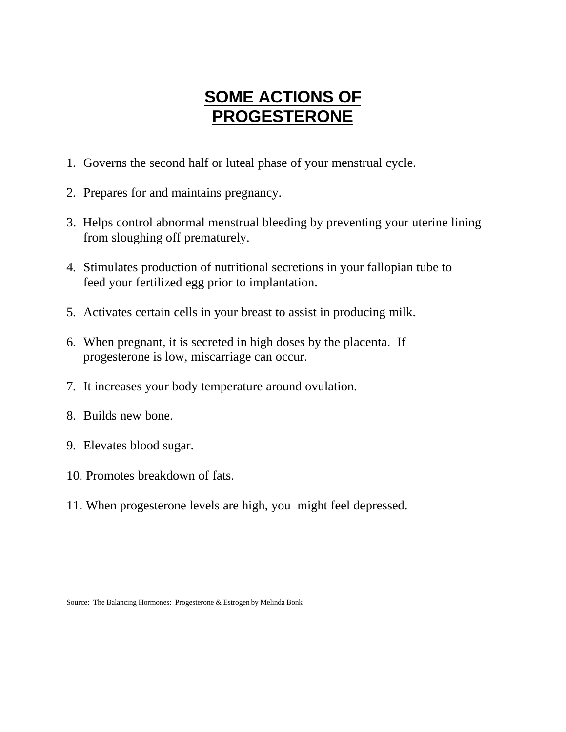# **SOME ACTIONS OF PROGESTERONE**

- 1. Governs the second half or luteal phase of your menstrual cycle.
- 2. Prepares for and maintains pregnancy.
- 3. Helps control abnormal menstrual bleeding by preventing your uterine lining from sloughing off prematurely.
- 4. Stimulates production of nutritional secretions in your fallopian tube to feed your fertilized egg prior to implantation.
- 5. Activates certain cells in your breast to assist in producing milk.
- 6. When pregnant, it is secreted in high doses by the placenta. If progesterone is low, miscarriage can occur.
- 7. It increases your body temperature around ovulation.
- 8. Builds new bone.
- 9. Elevates blood sugar.
- 10. Promotes breakdown of fats.
- 11. When progesterone levels are high, you might feel depressed.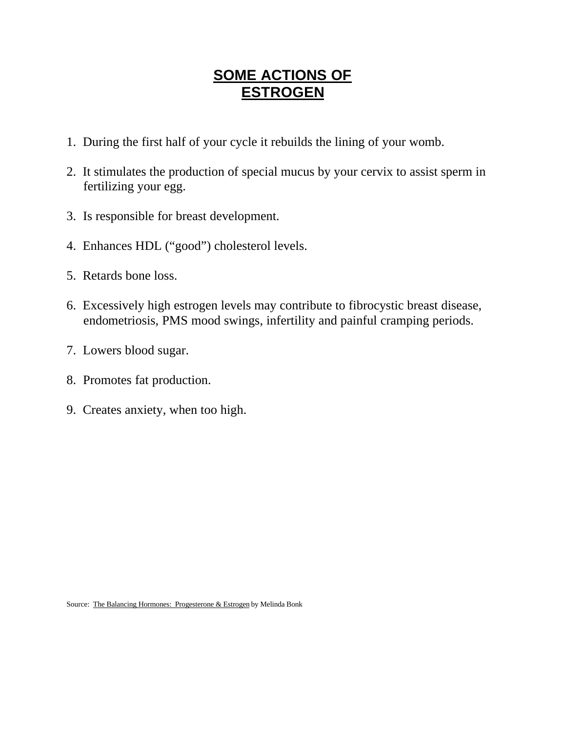## **SOME ACTIONS OF ESTROGEN**

- 1. During the first half of your cycle it rebuilds the lining of your womb.
- 2. It stimulates the production of special mucus by your cervix to assist sperm in fertilizing your egg.
- 3. Is responsible for breast development.
- 4. Enhances HDL ("good") cholesterol levels.
- 5. Retards bone loss.
- 6. Excessively high estrogen levels may contribute to fibrocystic breast disease, endometriosis, PMS mood swings, infertility and painful cramping periods.
- 7. Lowers blood sugar.
- 8. Promotes fat production.
- 9. Creates anxiety, when too high.

Source: The Balancing Hormones: Progesterone & Estrogen by Melinda Bonk